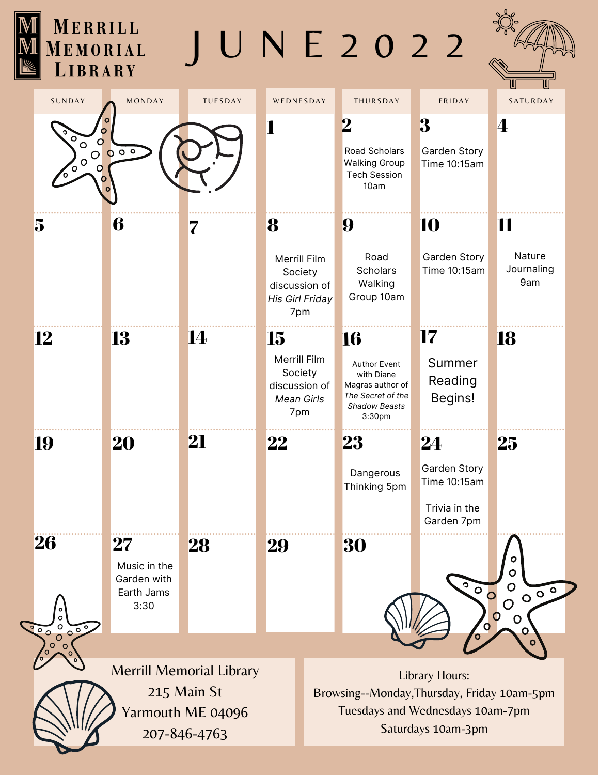| MERRILL<br>MEMORIAL<br>LIBRARY                        |                                                       |                                                                                     |                                                                                                                                           | UNE2022                                                                                                                 |                                                                                                                    |                                                                          |                                         |  |
|-------------------------------------------------------|-------------------------------------------------------|-------------------------------------------------------------------------------------|-------------------------------------------------------------------------------------------------------------------------------------------|-------------------------------------------------------------------------------------------------------------------------|--------------------------------------------------------------------------------------------------------------------|--------------------------------------------------------------------------|-----------------------------------------|--|
| SUNDAY                                                | MONDAY                                                | TUESDAY                                                                             | WEDNESDAY                                                                                                                                 |                                                                                                                         | THURSDAY                                                                                                           | FRIDAY                                                                   | SATURDAY                                |  |
| $\circ$<br>$\mathsf{O}$<br>$\circ$<br><b>10000-00</b> | 000                                                   |                                                                                     | 1                                                                                                                                         |                                                                                                                         | $\bf{2}$<br>Road Scholars<br><b>Walking Group</b><br><b>Tech Session</b><br>10am                                   | 3<br>Garden Story<br>Time 10:15am                                        | $\mathbf 4$                             |  |
| 5                                                     | 6                                                     | 7                                                                                   | 8                                                                                                                                         |                                                                                                                         | 9                                                                                                                  | 10                                                                       | 11                                      |  |
|                                                       |                                                       |                                                                                     | Merrill Film<br>Society<br>discussion of<br>His Girl Friday<br>7pm<br>15<br>Merrill Film<br>Society<br>discussion of<br>Mean Girls<br>7pm |                                                                                                                         | Road<br><b>Scholars</b><br>Walking<br>Group 10am                                                                   | Garden Story<br>Time 10:15am                                             | Nature<br>Journaling<br>9am             |  |
| 12                                                    | 13                                                    | 14                                                                                  |                                                                                                                                           |                                                                                                                         | 16<br><b>Author Event</b><br>with Diane<br>Magras author of<br>The Secret of the<br><b>Shadow Beasts</b><br>3:30pm | 17<br>Summer<br>Reading<br>Begins!                                       | 18                                      |  |
| 19                                                    | <b>20</b>                                             | 21                                                                                  | 22                                                                                                                                        |                                                                                                                         | 23<br>Dangerous<br>Thinking 5pm                                                                                    | 24<br><b>Garden Story</b><br>Time 10:15am<br>Trivia in the<br>Garden 7pm | 25                                      |  |
| 26                                                    | $\bf 27$<br>Music in the<br>Garden with<br>Earth Jams | 28                                                                                  | 29                                                                                                                                        |                                                                                                                         | 30                                                                                                                 | $\bullet$<br>$\circ$<br>$\mathbf{O}$                                     | ο<br>$\mathbf O$<br>O<br>0 <sup>0</sup> |  |
| $\frac{30}{100}$                                      | 3:30                                                  |                                                                                     |                                                                                                                                           |                                                                                                                         |                                                                                                                    |                                                                          | $\bigcirc$<br>$\mathbf O$<br>O          |  |
| COOOOOO                                               |                                                       |                                                                                     | $\overline{O}$<br>O                                                                                                                       |                                                                                                                         |                                                                                                                    |                                                                          |                                         |  |
|                                                       |                                                       | <b>Merrill Memorial Library</b><br>215 Main St<br>Yarmouth ME 04096<br>207-846-4763 |                                                                                                                                           | Library Hours:<br>Browsing--Monday, Thursday, Friday 10am-5pm<br>Tuesdays and Wednesdays 10am-7pm<br>Saturdays 10am-3pm |                                                                                                                    |                                                                          |                                         |  |